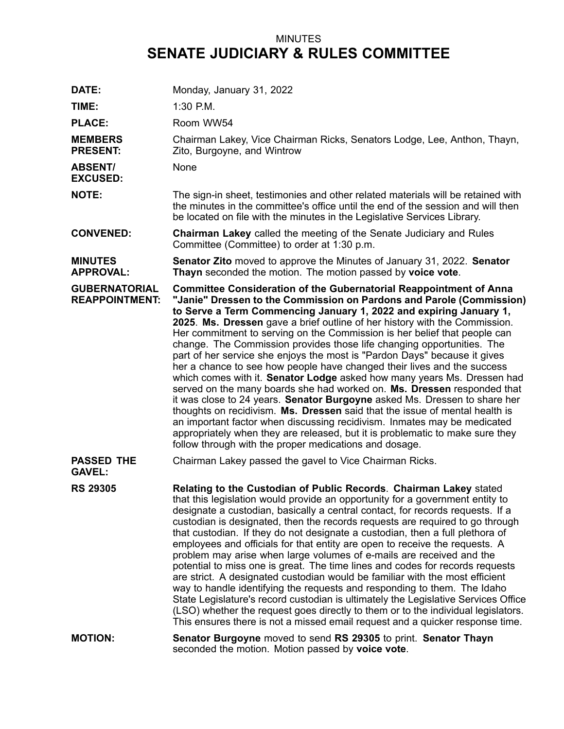## MINUTES **SENATE JUDICIARY & RULES COMMITTEE**

| DATE:                                         | Monday, January 31, 2022                                                                                                                                                                                                                                                                                                                                                                                                                                                                                                                                                                                                                                                                                                                                                                                                                                                                                                                                                                                                                                                                                                                                      |
|-----------------------------------------------|---------------------------------------------------------------------------------------------------------------------------------------------------------------------------------------------------------------------------------------------------------------------------------------------------------------------------------------------------------------------------------------------------------------------------------------------------------------------------------------------------------------------------------------------------------------------------------------------------------------------------------------------------------------------------------------------------------------------------------------------------------------------------------------------------------------------------------------------------------------------------------------------------------------------------------------------------------------------------------------------------------------------------------------------------------------------------------------------------------------------------------------------------------------|
| TIME:                                         | $1:30$ P.M.                                                                                                                                                                                                                                                                                                                                                                                                                                                                                                                                                                                                                                                                                                                                                                                                                                                                                                                                                                                                                                                                                                                                                   |
| <b>PLACE:</b>                                 | Room WW54                                                                                                                                                                                                                                                                                                                                                                                                                                                                                                                                                                                                                                                                                                                                                                                                                                                                                                                                                                                                                                                                                                                                                     |
| <b>MEMBERS</b><br><b>PRESENT:</b>             | Chairman Lakey, Vice Chairman Ricks, Senators Lodge, Lee, Anthon, Thayn,<br>Zito, Burgoyne, and Wintrow                                                                                                                                                                                                                                                                                                                                                                                                                                                                                                                                                                                                                                                                                                                                                                                                                                                                                                                                                                                                                                                       |
| <b>ABSENT/</b><br><b>EXCUSED:</b>             | None                                                                                                                                                                                                                                                                                                                                                                                                                                                                                                                                                                                                                                                                                                                                                                                                                                                                                                                                                                                                                                                                                                                                                          |
| <b>NOTE:</b>                                  | The sign-in sheet, testimonies and other related materials will be retained with<br>the minutes in the committee's office until the end of the session and will then<br>be located on file with the minutes in the Legislative Services Library.                                                                                                                                                                                                                                                                                                                                                                                                                                                                                                                                                                                                                                                                                                                                                                                                                                                                                                              |
| <b>CONVENED:</b>                              | <b>Chairman Lakey</b> called the meeting of the Senate Judiciary and Rules<br>Committee (Committee) to order at 1:30 p.m.                                                                                                                                                                                                                                                                                                                                                                                                                                                                                                                                                                                                                                                                                                                                                                                                                                                                                                                                                                                                                                     |
| <b>MINUTES</b><br><b>APPROVAL:</b>            | <b>Senator Zito</b> moved to approve the Minutes of January 31, 2022. Senator<br>Thayn seconded the motion. The motion passed by voice vote.                                                                                                                                                                                                                                                                                                                                                                                                                                                                                                                                                                                                                                                                                                                                                                                                                                                                                                                                                                                                                  |
| <b>GUBERNATORIAL</b><br><b>REAPPOINTMENT:</b> | <b>Committee Consideration of the Gubernatorial Reappointment of Anna</b><br>"Janie" Dressen to the Commission on Pardons and Parole (Commission)<br>to Serve a Term Commencing January 1, 2022 and expiring January 1,<br>2025. Ms. Dressen gave a brief outline of her history with the Commission.<br>Her commitment to serving on the Commission is her belief that people can<br>change. The Commission provides those life changing opportunities. The<br>part of her service she enjoys the most is "Pardon Days" because it gives<br>her a chance to see how people have changed their lives and the success<br>which comes with it. Senator Lodge asked how many years Ms. Dressen had<br>served on the many boards she had worked on. Ms. Dressen responded that<br>it was close to 24 years. Senator Burgoyne asked Ms. Dressen to share her<br>thoughts on recidivism. Ms. Dressen said that the issue of mental health is<br>an important factor when discussing recidivism. Inmates may be medicated<br>appropriately when they are released, but it is problematic to make sure they<br>follow through with the proper medications and dosage. |
| <b>PASSED THE</b><br><b>GAVEL:</b>            | Chairman Lakey passed the gavel to Vice Chairman Ricks.                                                                                                                                                                                                                                                                                                                                                                                                                                                                                                                                                                                                                                                                                                                                                                                                                                                                                                                                                                                                                                                                                                       |
| <b>RS 29305</b>                               | Relating to the Custodian of Public Records. Chairman Lakey stated<br>that this legislation would provide an opportunity for a government entity to<br>designate a custodian, basically a central contact, for records requests. If a<br>custodian is designated, then the records requests are required to go through<br>that custodian. If they do not designate a custodian, then a full plethora of<br>employees and officials for that entity are open to receive the requests. A<br>problem may arise when large volumes of e-mails are received and the<br>potential to miss one is great. The time lines and codes for records requests<br>are strict. A designated custodian would be familiar with the most efficient<br>way to handle identifying the requests and responding to them. The Idaho<br>State Legislature's record custodian is ultimately the Legislative Services Office<br>(LSO) whether the request goes directly to them or to the individual legislators.<br>This ensures there is not a missed email request and a quicker response time.                                                                                       |
| <b>MOTION:</b>                                | Senator Burgoyne moved to send RS 29305 to print. Senator Thayn<br>seconded the motion. Motion passed by voice vote.                                                                                                                                                                                                                                                                                                                                                                                                                                                                                                                                                                                                                                                                                                                                                                                                                                                                                                                                                                                                                                          |